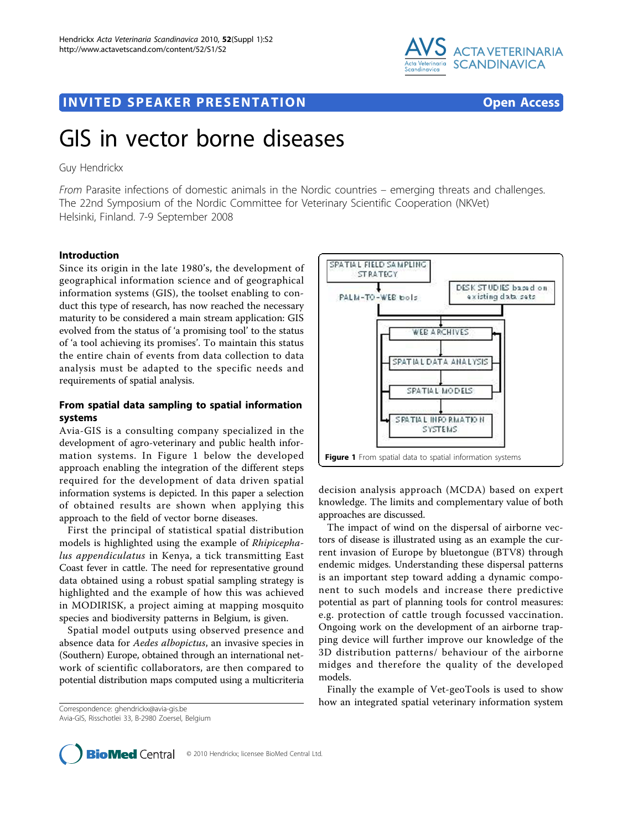

# **INVITED SPEAKER PRESENTATION CONSUMING THE SPEAK ERROR CONSUMING THE SPEAKER PRESENTATION**

# GIS in vector borne diseases

# Guy Hendrickx

From Parasite infections of domestic animals in the Nordic countries – emerging threats and challenges. The 22nd Symposium of the Nordic Committee for Veterinary Scientific Cooperation (NKVet) Helsinki, Finland. 7-9 September 2008

### Introduction

Since its origin in the late 1980's, the development of geographical information science and of geographical information systems (GIS), the toolset enabling to conduct this type of research, has now reached the necessary maturity to be considered a main stream application: GIS evolved from the status of 'a promising tool' to the status of 'a tool achieving its promises'. To maintain this status the entire chain of events from data collection to data analysis must be adapted to the specific needs and requirements of spatial analysis.

# From spatial data sampling to spatial information systems

Avia-GIS is a consulting company specialized in the development of agro-veterinary and public health information systems. In Figure 1 below the developed approach enabling the integration of the different steps required for the development of data driven spatial information systems is depicted. In this paper a selection of obtained results are shown when applying this approach to the field of vector borne diseases.

First the principal of statistical spatial distribution models is highlighted using the example of Rhipicephalus appendiculatus in Kenya, a tick transmitting East Coast fever in cattle. The need for representative ground data obtained using a robust spatial sampling strategy is highlighted and the example of how this was achieved in MODIRISK, a project aiming at mapping mosquito species and biodiversity patterns in Belgium, is given.

Spatial model outputs using observed presence and absence data for *Aedes albopictus*, an invasive species in (Southern) Europe, obtained through an international network of scientific collaborators, are then compared to potential distribution maps computed using a multicriteria



decision analysis approach (MCDA) based on expert knowledge. The limits and complementary value of both approaches are discussed.

The impact of wind on the dispersal of airborne vectors of disease is illustrated using as an example the current invasion of Europe by bluetongue (BTV8) through endemic midges. Understanding these dispersal patterns is an important step toward adding a dynamic component to such models and increase there predictive potential as part of planning tools for control measures: e.g. protection of cattle trough focussed vaccination. Ongoing work on the development of an airborne trapping device will further improve our knowledge of the 3D distribution patterns/ behaviour of the airborne midges and therefore the quality of the developed models.

Finally the example of Vet-geoTools is used to show how an integrated spatial veterinary information system Correspondence: [ghendrickx@avia-gis.be](mailto:ghendrickx@avia-gis.be)

Avia-GIS, Risschotlei 33, B-2980 Zoersel, Belgium



© 2010 Hendrickx; licensee BioMed Central Ltd.